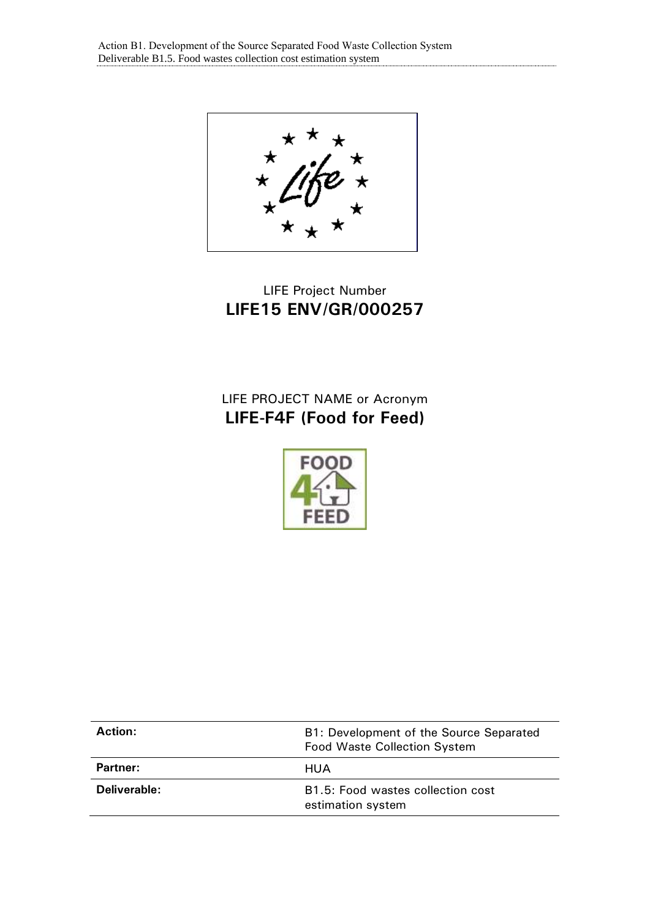### LIFE Project Number **LIFE15 ENV/GR/000257**

LIFE PROJECT NAME or Acronym **LIFE-F4F (Food for Feed)**



| <b>Action:</b> | B1: Development of the Source Separated<br><b>Food Waste Collection System</b> |
|----------------|--------------------------------------------------------------------------------|
| Partner:       | HUA                                                                            |
| Deliverable:   | B1.5: Food wastes collection cost<br>estimation system                         |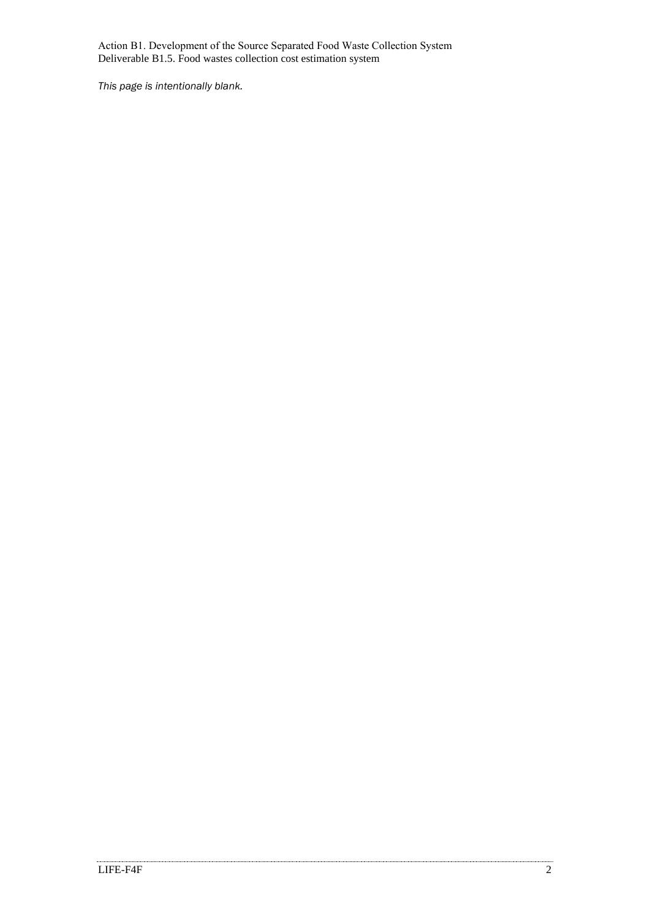Action Β1. Development of the Source Separated Food Waste Collection System Deliverable B1.5. Food wastes collection cost estimation system

*This page is intentionally blank.*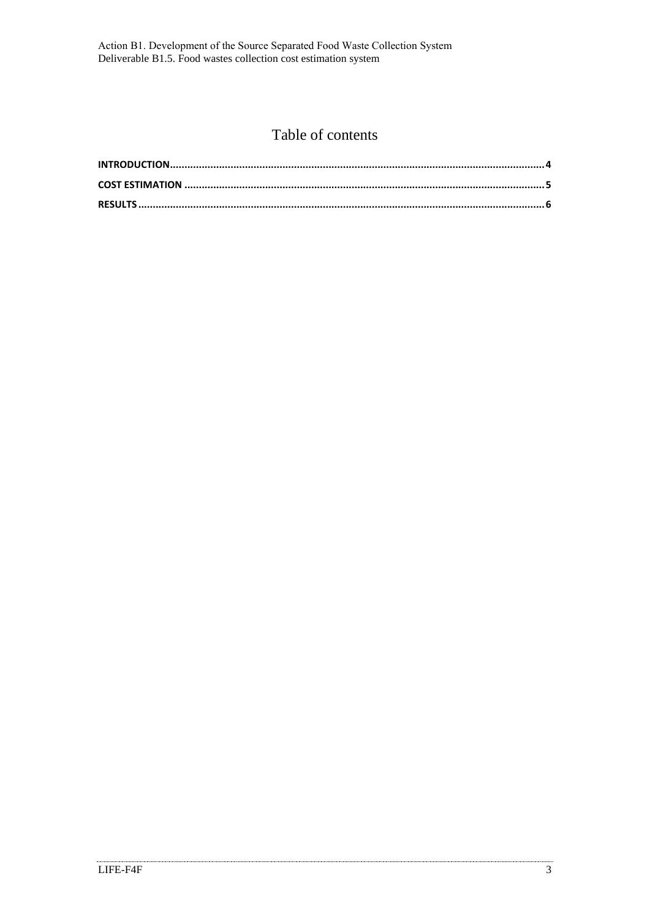# Table of contents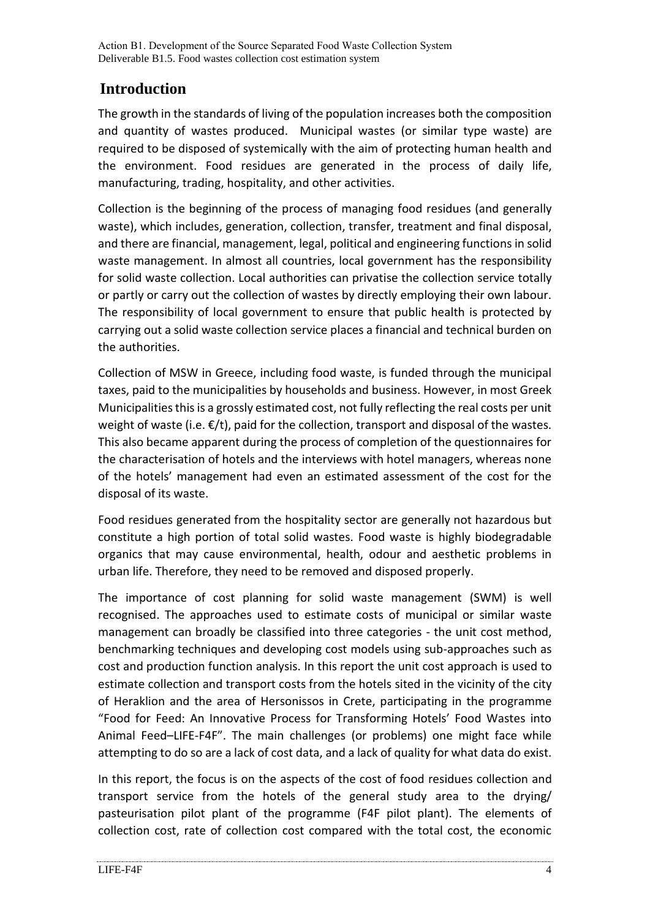## <span id="page-3-0"></span>**Introduction**

The growth in the standards of living of the population increases both the composition and quantity of wastes produced. Municipal wastes (or similar type waste) are required to be disposed of systemically with the aim of protecting human health and the environment. Food residues are generated in the process of daily life, manufacturing, trading, hospitality, and other activities.

Collection is the beginning of the process of managing food residues (and generally waste), which includes, generation, collection, transfer, treatment and final disposal, and there are financial, management, legal, political and engineering functions in solid waste management. In almost all countries, local government has the responsibility for solid waste collection. Local authorities can privatise the collection service totally or partly or carry out the collection of wastes by directly employing their own labour. The responsibility of local government to ensure that public health is protected by carrying out a solid waste collection service places a financial and technical burden on the authorities.

Collection of MSW in Greece, including food waste, is funded through the municipal taxes, paid to the municipalities by households and business. However, in most Greek Municipalities this is a grossly estimated cost, not fully reflecting the real costs per unit weight of waste (i.e.  $\epsilon/t$ ), paid for the collection, transport and disposal of the wastes. This also became apparent during the process of completion of the questionnaires for the characterisation of hotels and the interviews with hotel managers, whereas none of the hotels' management had even an estimated assessment of the cost for the disposal of its waste.

Food residues generated from the hospitality sector are generally not hazardous but constitute a high portion of total solid wastes. Food waste is highly biodegradable organics that may cause environmental, health, odour and aesthetic problems in urban life. Therefore, they need to be removed and disposed properly.

The importance of cost planning for solid waste management (SWM) is well recognised. The approaches used to estimate costs of municipal or similar waste management can broadly be classified into three categories - the unit cost method, benchmarking techniques and developing cost models using sub-approaches such as cost and production function analysis. In this report the unit cost approach is used to estimate collection and transport costs from the hotels sited in the vicinity of the city of Heraklion and the area of Hersonissos in Crete, participating in the programme "Food for Feed: An Innovative Process for Transforming Hotels' Food Wastes into Animal Feed–LIFE-F4F". The main challenges (or problems) one might face while attempting to do so are a lack of cost data, and a lack of quality for what data do exist.

In this report, the focus is on the aspects of the cost of food residues collection and transport service from the hotels of the general study area to the drying/ pasteurisation pilot plant of the programme (F4F pilot plant). The elements of collection cost, rate of collection cost compared with the total cost, the economic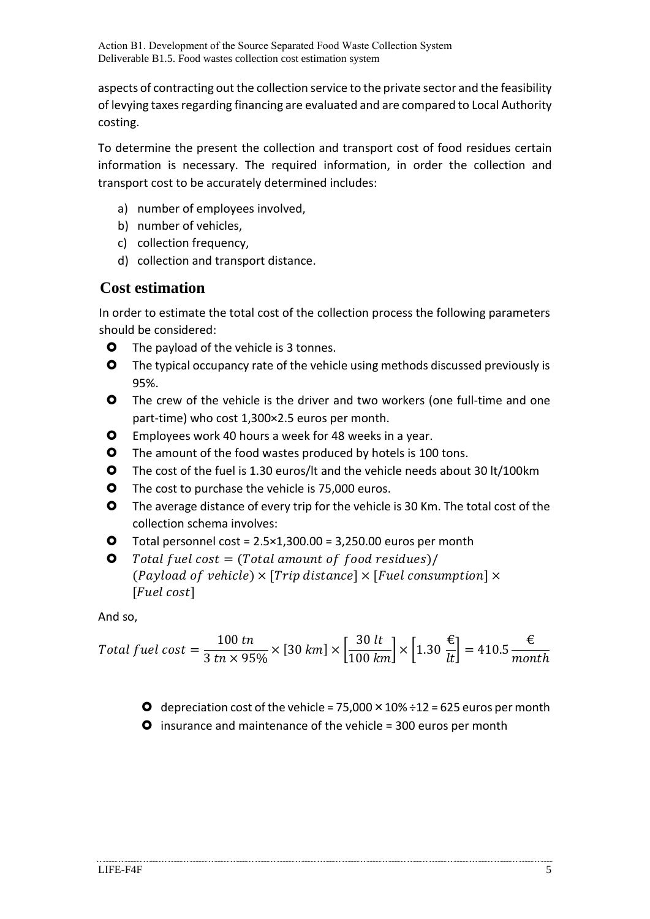aspects of contracting out the collection service to the private sector and the feasibility of levying taxes regarding financing are evaluated and are compared to Local Authority costing.

To determine the present the collection and transport cost of food residues certain information is necessary. The required information, in order the collection and transport cost to be accurately determined includes:

- a) number of employees involved,
- b) number of vehicles,
- c) collection frequency,
- d) collection and transport distance.

### <span id="page-4-0"></span>**Cost estimation**

In order to estimate the total cost of the collection process the following parameters should be considered:

- **O** The payload of the vehicle is 3 tonnes.
- **O** The typical occupancy rate of the vehicle using methods discussed previously is 95%.
- **O** The crew of the vehicle is the driver and two workers (one full-time and one part-time) who cost 1,300×2.5 euros per month.
- **O** Employees work 40 hours a week for 48 weeks in a year.
- **O** The amount of the food wastes produced by hotels is 100 tons.
- The cost of the fuel is 1.30 euros/lt and the vehicle needs about 30 lt/100km
- **O** The cost to purchase the vehicle is 75,000 euros.
- **O** The average distance of every trip for the vehicle is 30 Km. The total cost of the collection schema involves:
- **O** Total personnel cost =  $2.5 \times 1,300.00 = 3,250.00$  euros per month
- O Total fuel cost = (Total amount of food residues)/ (Payload of vehicle)  $\times$  [Trip distance]  $\times$  [Fuel consumption]  $\times$  $[Full cost]$

#### And so,

Total fuel cost = 
$$
\frac{100 \text{ th}}{3 \text{ th} \times 95\%} \times [30 \text{ km}] \times \left[\frac{30 \text{ lt}}{100 \text{ km}}\right] \times \left[1.30 \frac{\text{ft}}{lt}\right] = 410.5 \frac{\text{ft}}{\text{month}}
$$

- **O** depreciation cost of the vehicle = 75,000  $\times$  10% ÷12 = 625 euros per month
- $\bullet$  insurance and maintenance of the vehicle = 300 euros per month